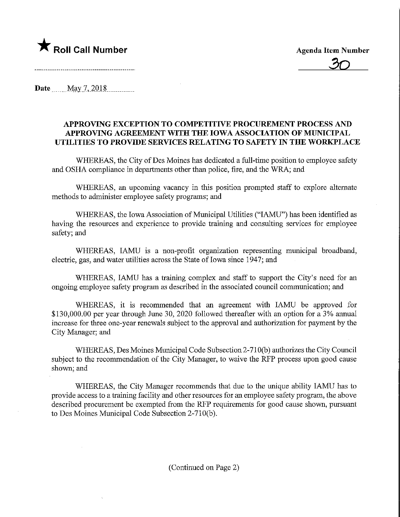

 $\overline{\mathcal{S}}$ 

Date May 7, 2018.

## APPROVmG EXCEPTION TO COMPETITIVE PROCUREMENT PROCESS AND APPROVING AGREEMENT WITH THE IOWA ASSOCIATION OF MUNICIPAL UTILITIES TO PROVIDE SERVICES RELATING TO SAFETY IN THE WORKPLACE

WHEREAS, the City of Des Moines has dedicated a full-time position to employee safety and OSHA compliance in departments other than police, fire, and the WRA; and

WHEREAS, an upcoming vacancy in this position prompted staff to explore alternate methods to administer employee safety programs; and

WHEREAS, the Iowa Association of Municipal Utilities ("IAMU") has been identified as having the resources and experience to provide training and consulting services for employee safety; and

WHEREAS, IAMU is a non-profit organization representing municipal broadband, electric, gas, and water utilities across the State of Iowa since 1947; and

WHEREAS, IAMU has a training complex and staff to support the City's need for an ongoing employee safety program as described in the associated council communication; and

WHEREAS, it is recommended that an agreement with IAMU be approved for \$130,000.00 per year through June 30, 2020 followed thereafter with an option for a 3% annual increase for three one-year renewals subject to the approval and authorization for payment by the City Manager; and

WHEREAS, Des Moines Municipal Code Subsection 2-710(b) authorizes the City Council subject to the recommendation of the City Manager, to waive the RFP process upon good cause shown; and

WHEREAS, the City Manager recommends that due to the unique ability IAMU has to provide access to a training facility and other resources for an employee safety program, the above described procurement be exempted from the RFP requirements for good cause shown, pursuant to Des Moines Municipal Code Subsection 2-710(b).

(Continued on Page 2)